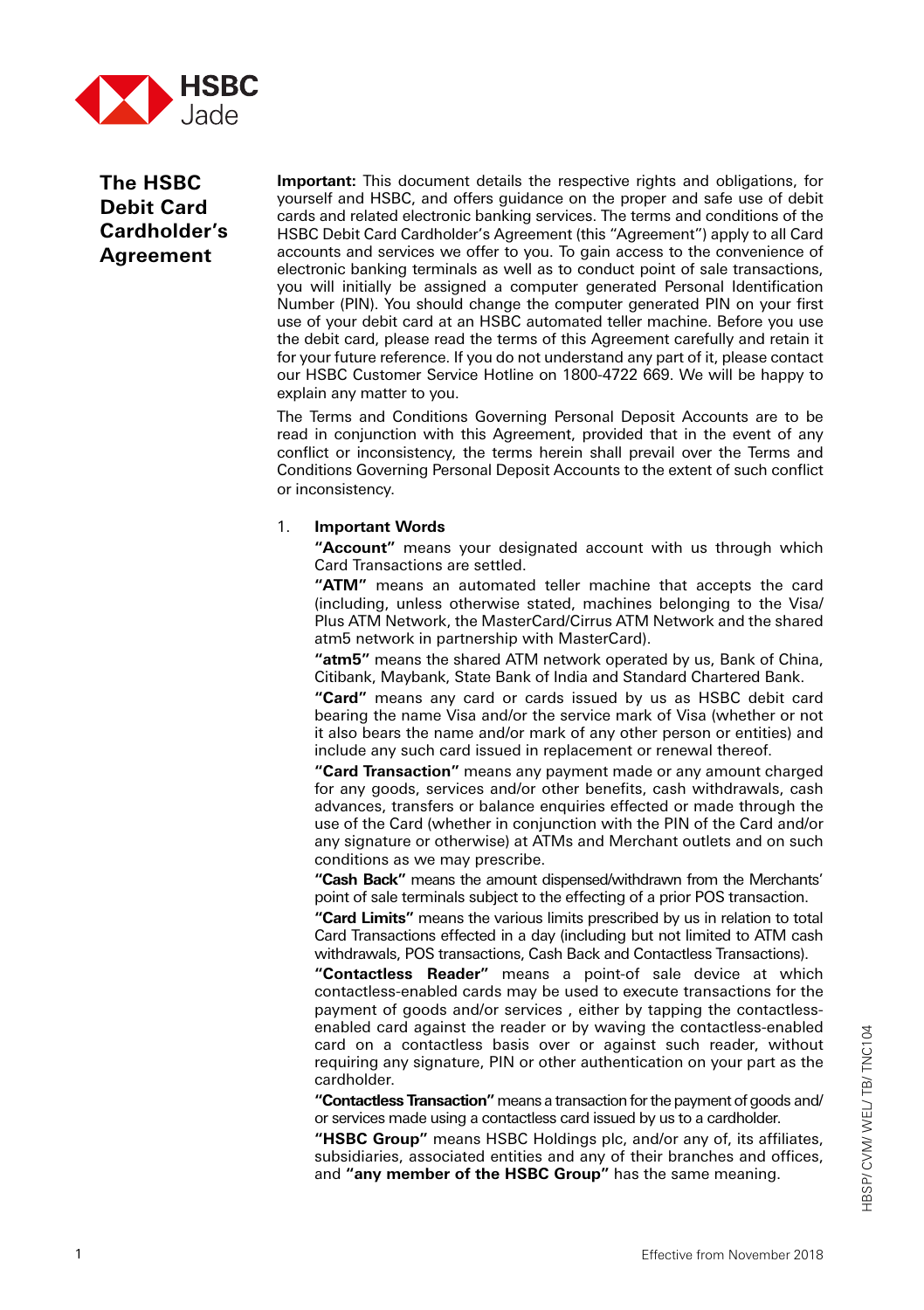

# **The HSBC Debit Card Cardholder's Agreement**

**Important:** This document details the respective rights and obligations, for yourself and HSBC, and offers guidance on the proper and safe use of debit cards and related electronic banking services. The terms and conditions of the HSBC Debit Card Cardholder's Agreement (this "Agreement") apply to all Card accounts and services we offer to you. To gain access to the convenience of electronic banking terminals as well as to conduct point of sale transactions, you will initially be assigned a computer generated Personal Identification Number (PIN). You should change the computer generated PIN on your first use of your debit card at an HSBC automated teller machine. Before you use the debit card, please read the terms of this Agreement carefully and retain it for your future reference. If you do not understand any part of it, please contact our HSBC Customer Service Hotline on 1800-4722 669. We will be happy to explain any matter to you.

The Terms and Conditions Governing Personal Deposit Accounts are to be read in conjunction with this Agreement, provided that in the event of any conflict or inconsistency, the terms herein shall prevail over the Terms and Conditions Governing Personal Deposit Accounts to the extent of such conflict or inconsistency.

#### 1. **Important Words**

**"Account"** means your designated account with us through which Card Transactions are settled.

**"ATM"** means an automated teller machine that accepts the card (including, unless otherwise stated, machines belonging to the Visa/ Plus ATM Network, the MasterCard/Cirrus ATM Network and the shared atm5 network in partnership with MasterCard).

**"atm5"** means the shared ATM network operated by us, Bank of China, Citibank, Maybank, State Bank of India and Standard Chartered Bank.

**"Card"** means any card or cards issued by us as HSBC debit card bearing the name Visa and/or the service mark of Visa (whether or not it also bears the name and/or mark of any other person or entities) and include any such card issued in replacement or renewal thereof.

**"Card Transaction"** means any payment made or any amount charged for any goods, services and/or other benefits, cash withdrawals, cash advances, transfers or balance enquiries effected or made through the use of the Card (whether in conjunction with the PIN of the Card and/or any signature or otherwise) at ATMs and Merchant outlets and on such conditions as we may prescribe.

**"Cash Back"** means the amount dispensed/withdrawn from the Merchants' point of sale terminals subject to the effecting of a prior POS transaction.

**"Card Limits"** means the various limits prescribed by us in relation to total Card Transactions effected in a day (including but not limited to ATM cash withdrawals, POS transactions, Cash Back and Contactless Transactions).

**"Contactless Reader"** means a point-of sale device at which contactless-enabled cards may be used to execute transactions for the payment of goods and/or services , either by tapping the contactlessenabled card against the reader or by waving the contactless-enabled card on a contactless basis over or against such reader, without requiring any signature, PIN or other authentication on your part as the cardholder.

**"Contactless Transaction"** means a transaction for the payment of goods and/ or services made using a contactless card issued by us to a cardholder.

**"HSBC Group"** means HSBC Holdings plc, and/or any of, its affiliates, subsidiaries, associated entities and any of their branches and offices, and **"any member of the HSBC Group"** has the same meaning.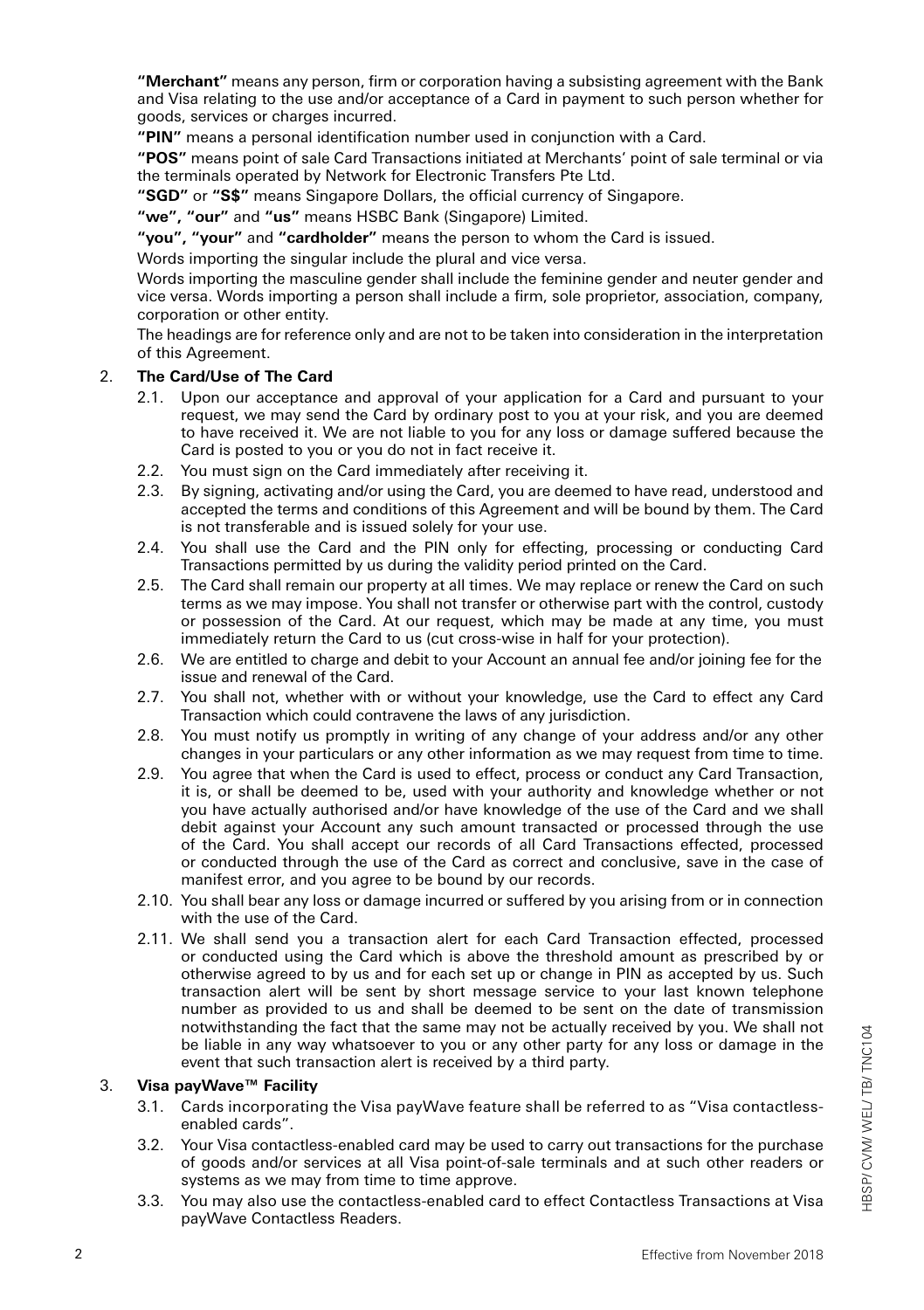**"Merchant"** means any person, firm or corporation having a subsisting agreement with the Bank and Visa relating to the use and/or acceptance of a Card in payment to such person whether for goods, services or charges incurred.

**"PIN"** means a personal identification number used in conjunction with a Card.

**"POS"** means point of sale Card Transactions initiated at Merchants' point of sale terminal or via the terminals operated by Network for Electronic Transfers Pte Ltd.

**"SGD"** or **"S\$"** means Singapore Dollars, the official currency of Singapore.

**"we", "our"** and **"us"** means HSBC Bank (Singapore) Limited.

**"you", "your"** and **"cardholder"** means the person to whom the Card is issued.

Words importing the singular include the plural and vice versa.

Words importing the masculine gender shall include the feminine gender and neuter gender and vice versa. Words importing a person shall include a firm, sole proprietor, association, company, corporation or other entity.

The headings are for reference only and are not to be taken into consideration in the interpretation of this Agreement.

# 2. **The Card/Use of The Card**

- 2.1. Upon our acceptance and approval of your application for a Card and pursuant to your request, we may send the Card by ordinary post to you at your risk, and you are deemed to have received it. We are not liable to you for any loss or damage suffered because the Card is posted to you or you do not in fact receive it.
- 2.2. You must sign on the Card immediately after receiving it.
- 2.3. By signing, activating and/or using the Card, you are deemed to have read, understood and accepted the terms and conditions of this Agreement and will be bound by them. The Card is not transferable and is issued solely for your use.
- 2.4. You shall use the Card and the PIN only for effecting, processing or conducting Card Transactions permitted by us during the validity period printed on the Card.
- 2.5. The Card shall remain our property at all times. We may replace or renew the Card on such terms as we may impose. You shall not transfer or otherwise part with the control, custody or possession of the Card. At our request, which may be made at any time, you must immediately return the Card to us (cut cross-wise in half for your protection).
- 2.6. We are entitled to charge and debit to your Account an annual fee and/or joining fee for the issue and renewal of the Card.
- 2.7. You shall not, whether with or without your knowledge, use the Card to effect any Card Transaction which could contravene the laws of any jurisdiction.
- 2.8. You must notify us promptly in writing of any change of your address and/or any other changes in your particulars or any other information as we may request from time to time.
- 2.9. You agree that when the Card is used to effect, process or conduct any Card Transaction, it is, or shall be deemed to be, used with your authority and knowledge whether or not you have actually authorised and/or have knowledge of the use of the Card and we shall debit against your Account any such amount transacted or processed through the use of the Card. You shall accept our records of all Card Transactions effected, processed or conducted through the use of the Card as correct and conclusive, save in the case of manifest error, and you agree to be bound by our records.
- 2.10. You shall bear any loss or damage incurred or suffered by you arising from or in connection with the use of the Card.
- 2.11. We shall send you a transaction alert for each Card Transaction effected, processed or conducted using the Card which is above the threshold amount as prescribed by or otherwise agreed to by us and for each set up or change in PIN as accepted by us. Such transaction alert will be sent by short message service to your last known telephone number as provided to us and shall be deemed to be sent on the date of transmission notwithstanding the fact that the same may not be actually received by you. We shall not be liable in any way whatsoever to you or any other party for any loss or damage in the event that such transaction alert is received by a third party.

#### 3. **Visa payWave™ Facility**

- 3.1. Cards incorporating the Visa payWave feature shall be referred to as "Visa contactless enabled cards".
- 3.2. Your Visa contactless-enabled card may be used to carry out transactions for the purchase of goods and/or services at all Visa point-of-sale terminals and at such other readers or systems as we may from time to time approve.
- 3.3. You may also use the contactless-enabled card to effect Contactless Transactions at Visa payWave Contactless Readers.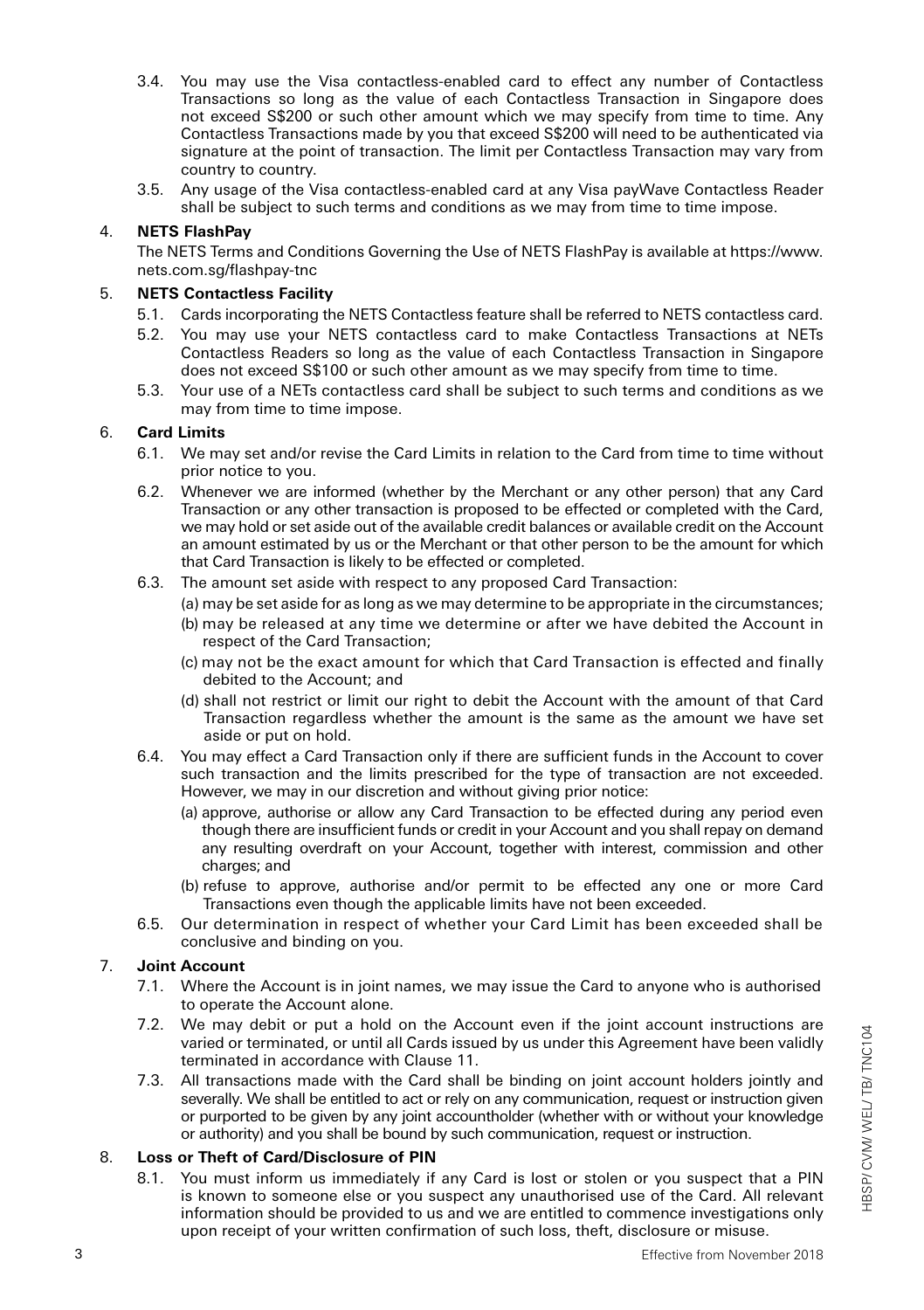- 3.4. You may use the Visa contactless-enabled card to effect any number of Contactless Transactions so long as the value of each Contactless Transaction in Singapore does not exceed S\$200 or such other amount which we may specify from time to time. Any Contactless Transactions made by you that exceed S\$200 will need to be authenticated via signature at the point of transaction. The limit per Contactless Transaction may vary from country to country.
- 3.5. Any usage of the Visa contactless-enabled card at any Visa payWave Contactless Reader shall be subject to such terms and conditions as we may from time to time impose.

## 4. **NETS FlashPay**

The NETS Terms and Conditions Governing the Use of NETS FlashPay is available at https://www. nets.com.sg/flashpay-tnc

## 5. **NETS Contactless Facility**

- 5.1. Cards incorporating the NETS Contactless feature shall be referred to NETS contactless card.
- 5.2. You may use your NETS contactless card to make Contactless Transactions at NETs Contactless Readers so long as the value of each Contactless Transaction in Singapore does not exceed S\$100 or such other amount as we may specify from time to time.
- 5.3. Your use of a NETs contactless card shall be subject to such terms and conditions as we may from time to time impose.

#### 6. **Card Limits**

- 6.1. We may set and/or revise the Card Limits in relation to the Card from time to time without prior notice to you.
- 6.2. Whenever we are informed (whether by the Merchant or any other person) that any Card Transaction or any other transaction is proposed to be effected or completed with the Card, we may hold or set aside out of the available credit balances or available credit on the Account an amount estimated by us or the Merchant or that other person to be the amount for which that Card Transaction is likely to be effected or completed.
- 6.3. The amount set aside with respect to any proposed Card Transaction:
	- (a) may be set aside for as long as we may determine to be appropriate in the circumstances;
	- (b) may be released at any time we determine or after we have debited the Account in respect of the Card Transaction;
	- (c) may not be the exact amount for which that Card Transaction is effected and finally debited to the Account; and
	- (d) shall not restrict or limit our right to debit the Account with the amount of that Card Transaction regardless whether the amount is the same as the amount we have set aside or put on hold.
- 6.4. You may effect a Card Transaction only if there are sufficient funds in the Account to cover such transaction and the limits prescribed for the type of transaction are not exceeded. However, we may in our discretion and without giving prior notice:
	- (a) approve, authorise or allow any Card Transaction to be effected during any period even though there are insufficient funds or credit in your Account and you shall repay on demand any resulting overdraft on your Account, together with interest, commission and other charges; and
	- (b) refuse to approve, authorise and/or permit to be effected any one or more Card Transactions even though the applicable limits have not been exceeded.
- 6.5. Our determination in respect of whether your Card Limit has been exceeded shall be conclusive and binding on you.

#### 7. **Joint Account**

- 7.1. Where the Account is in joint names, we may issue the Card to anyone who is authorised to operate the Account alone.
- 7.2. We may debit or put a hold on the Account even if the joint account instructions are varied or terminated, or until all Cards issued by us under this Agreement have been validly terminated in accordance with Clause 11.
- 7.3. All transactions made with the Card shall be binding on joint account holders jointly and severally. We shall be entitled to act or rely on any communication, request or instruction given or purported to be given by any joint accountholder (whether with or without your knowledge or authority) and you shall be bound by such communication, request or instruction.

# 8. **Loss or Theft of Card/Disclosure of PIN**

8.1. You must inform us immediately if any Card is lost or stolen or you suspect that a PIN is known to someone else or you suspect any unauthorised use of the Card. All relevant information should be provided to us and we are entitled to commence investigations only upon receipt of your written confirmation of such loss, theft, disclosure or misuse.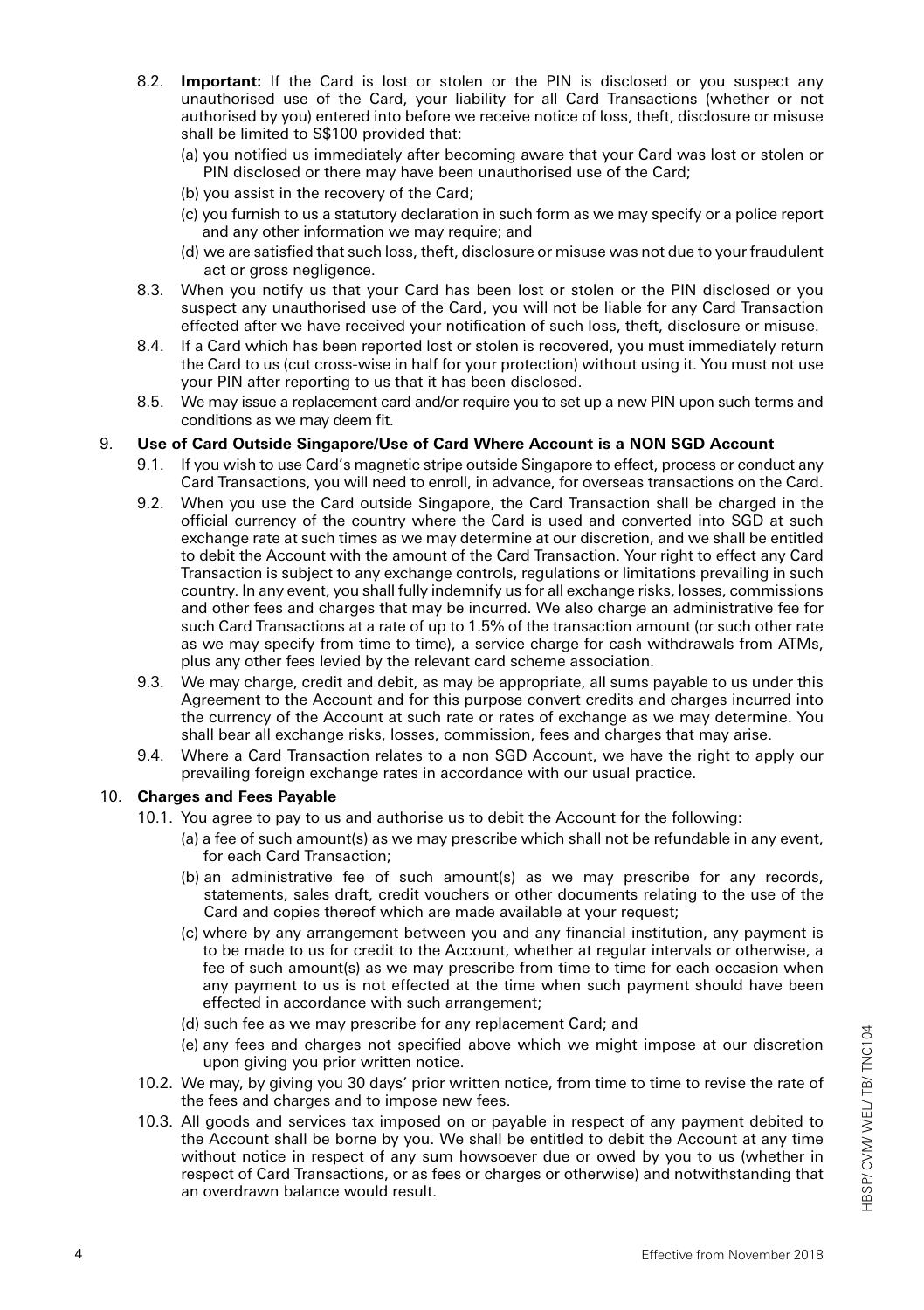- 8.2. **Important:** If the Card is lost or stolen or the PIN is disclosed or you suspect any unauthorised use of the Card, your liability for all Card Transactions (whether or not authorised by you) entered into before we receive notice of loss, theft, disclosure or misuse shall be limited to S\$100 provided that:
	- (a) you notified us immediately after becoming aware that your Card was lost or stolen or PIN disclosed or there may have been unauthorised use of the Card;
	- (b) you assist in the recovery of the Card;
	- (c) you furnish to us a statutory declaration in such form as we may specify or a police report and any other information we may require; and
	- (d) we are satisfied that such loss, theft, disclosure or misuse was not due to your fraudulent act or gross negligence.
- 8.3. When you notify us that your Card has been lost or stolen or the PIN disclosed or you suspect any unauthorised use of the Card, you will not be liable for any Card Transaction effected after we have received your notification of such loss, theft, disclosure or misuse.
- 8.4. If a Card which has been reported lost or stolen is recovered, you must immediately return the Card to us (cut cross-wise in half for your protection) without using it. You must not use your PIN after reporting to us that it has been disclosed.
- 8.5. We may issue a replacement card and/or require you to set up a new PIN upon such terms and conditions as we may deem fit.

#### 9. **Use of Card Outside Singapore/Use of Card Where Account is a NON SGD Account**

- 9.1. If you wish to use Card's magnetic stripe outside Singapore to effect, process or conduct any Card Transactions, you will need to enroll, in advance, for overseas transactions on the Card.
- 9.2. When you use the Card outside Singapore, the Card Transaction shall be charged in the official currency of the country where the Card is used and converted into SGD at such exchange rate at such times as we may determine at our discretion, and we shall be entitled to debit the Account with the amount of the Card Transaction. Your right to effect any Card Transaction is subject to any exchange controls, regulations or limitations prevailing in such country. In any event, you shall fully indemnify us for all exchange risks, losses, commissions and other fees and charges that may be incurred. We also charge an administrative fee for such Card Transactions at a rate of up to 1.5% of the transaction amount (or such other rate as we may specify from time to time), a service charge for cash withdrawals from ATMs, plus any other fees levied by the relevant card scheme association.
- 9.3. We may charge, credit and debit, as may be appropriate, all sums payable to us under this Agreement to the Account and for this purpose convert credits and charges incurred into the currency of the Account at such rate or rates of exchange as we may determine. You shall bear all exchange risks, losses, commission, fees and charges that may arise.
- 9.4. Where a Card Transaction relates to a non SGD Account, we have the right to apply our prevailing foreign exchange rates in accordance with our usual practice.

#### 10. **Charges and Fees Payable**

- 10.1. You agree to pay to us and authorise us to debit the Account for the following:
	- (a) a fee of such amount(s) as we may prescribe which shall not be refundable in any event, for each Card Transaction;
	- (b) an administrative fee of such amount(s) as we may prescribe for any records, statements, sales draft, credit vouchers or other documents relating to the use of the Card and copies thereof which are made available at your request;
	- (c) where by any arrangement between you and any financial institution, any payment is to be made to us for credit to the Account, whether at regular intervals or otherwise, a fee of such amount(s) as we may prescribe from time to time for each occasion when any payment to us is not effected at the time when such payment should have been effected in accordance with such arrangement;
	- (d) such fee as we may prescribe for any replacement Card; and
	- (e) any fees and charges not specified above which we might impose at our discretion upon giving you prior written notice.
- 10.2. We may, by giving you 30 days' prior written notice, from time to time to revise the rate of the fees and charges and to impose new fees.
- 10.3. All goods and services tax imposed on or payable in respect of any payment debited to the Account shall be borne by you. We shall be entitled to debit the Account at any time without notice in respect of any sum howsoever due or owed by you to us (whether in respect of Card Transactions, or as fees or charges or otherwise) and notwithstanding that an overdrawn balance would result.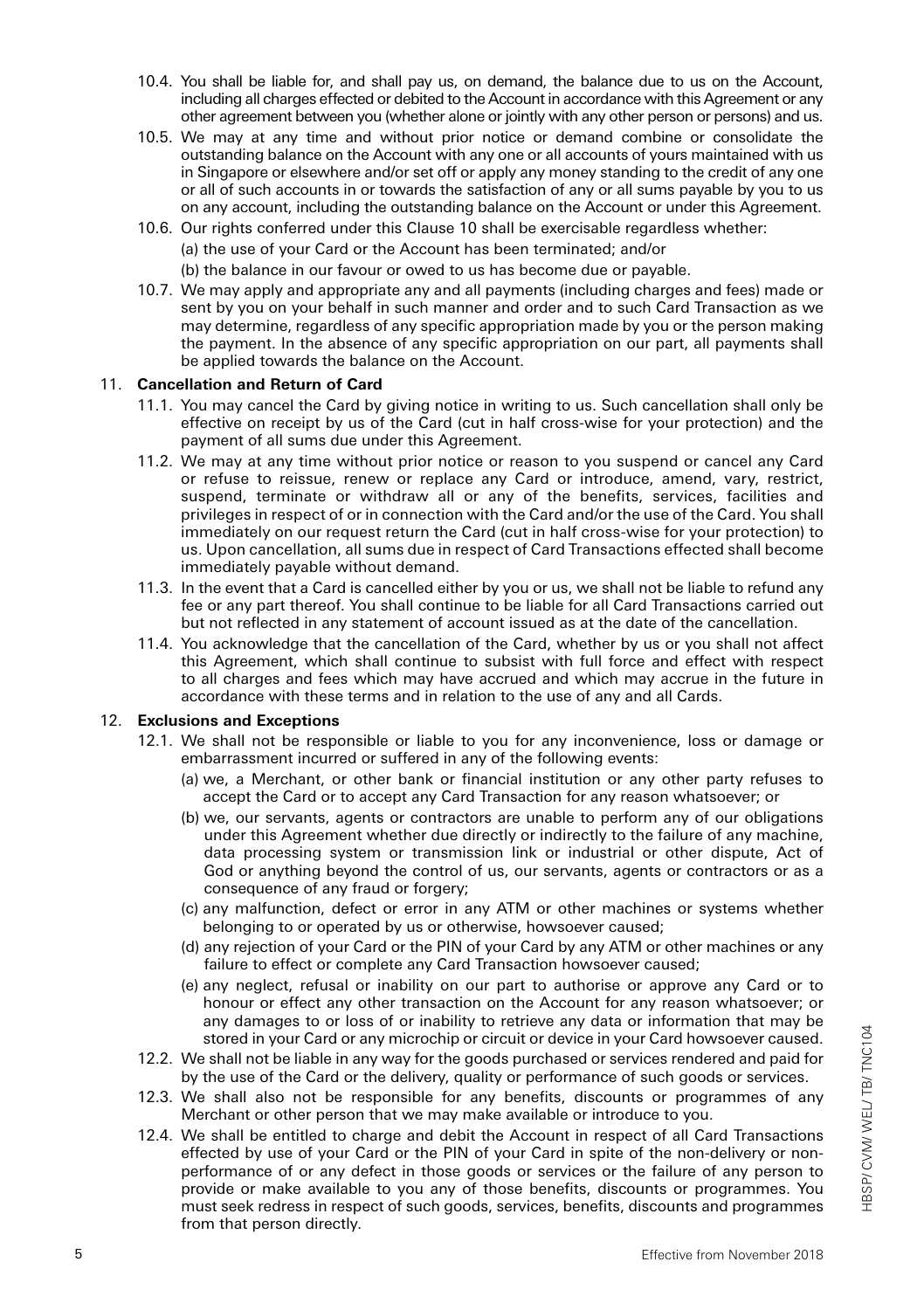- 10.4. You shall be liable for, and shall pay us, on demand, the balance due to us on the Account, including all charges effected or debited to the Account in accordance with this Agreement or any other agreement between you (whether alone or jointly with any other person or persons) and us.
- 10.5. We may at any time and without prior notice or demand combine or consolidate the outstanding balance on the Account with any one or all accounts of yours maintained with us in Singapore or elsewhere and/or set off or apply any money standing to the credit of any one or all of such accounts in or towards the satisfaction of any or all sums payable by you to us on any account, including the outstanding balance on the Account or under this Agreement.
- 10.6. Our rights conferred under this Clause 10 shall be exercisable regardless whether: (a) the use of your Card or the Account has been terminated; and/or (b) the balance in our favour or owed to us has become due or payable.
- 10.7. We may apply and appropriate any and all payments (including charges and fees) made or sent by you on your behalf in such manner and order and to such Card Transaction as we may determine, regardless of any specific appropriation made by you or the person making the payment. In the absence of any specific appropriation on our part, all payments shall be applied towards the balance on the Account.

#### 11. **Cancellation and Return of Card**

- 11.1. You may cancel the Card by giving notice in writing to us. Such cancellation shall only be effective on receipt by us of the Card (cut in half cross-wise for your protection) and the payment of all sums due under this Agreement.
- 11.2. We may at any time without prior notice or reason to you suspend or cancel any Card or refuse to reissue, renew or replace any Card or introduce, amend, vary, restrict, suspend, terminate or withdraw all or any of the benefits, services, facilities and privileges in respect of or in connection with the Card and/or the use of the Card. You shall immediately on our request return the Card (cut in half cross-wise for your protection) to us. Upon cancellation, all sums due in respect of Card Transactions effected shall become immediately payable without demand.
- 11.3. In the event that a Card is cancelled either by you or us, we shall not be liable to refund any fee or any part thereof. You shall continue to be liable for all Card Transactions carried out but not reflected in any statement of account issued as at the date of the cancellation.
- 11.4. You acknowledge that the cancellation of the Card, whether by us or you shall not affect this Agreement, which shall continue to subsist with full force and effect with respect to all charges and fees which may have accrued and which may accrue in the future in accordance with these terms and in relation to the use of any and all Cards.

#### 12. **Exclusions and Exceptions**

- 12.1. We shall not be responsible or liable to you for any inconvenience, loss or damage or embarrassment incurred or suffered in any of the following events:
	- (a) we, a Merchant, or other bank or financial institution or any other party refuses to accept the Card or to accept any Card Transaction for any reason whatsoever; or
	- (b) we, our servants, agents or contractors are unable to perform any of our obligations under this Agreement whether due directly or indirectly to the failure of any machine, data processing system or transmission link or industrial or other dispute, Act of God or anything beyond the control of us, our servants, agents or contractors or as a consequence of any fraud or forgery;
	- (c) any malfunction, defect or error in any ATM or other machines or systems whether belonging to or operated by us or otherwise, howsoever caused;
	- (d) any rejection of your Card or the PIN of your Card by any ATM or other machines or any failure to effect or complete any Card Transaction howsoever caused:
	- (e) any neglect, refusal or inability on our part to authorise or approve any Card or to honour or effect any other transaction on the Account for any reason whatsoever; or any damages to or loss of or inability to retrieve any data or information that may be stored in your Card or any microchip or circuit or device in your Card howsoever caused.
- 12.2. We shall not be liable in any way for the goods purchased or services rendered and paid for by the use of the Card or the delivery, quality or performance of such goods or services.
- 12.3. We shall also not be responsible for any benefits, discounts or programmes of any Merchant or other person that we may make available or introduce to you.
- 12.4. We shall be entitled to charge and debit the Account in respect of all Card Transactions effected by use of your Card or the PIN of your Card in spite of the non-delivery or nonperformance of or any defect in those goods or services or the failure of any person to provide or make available to you any of those benefits, discounts or programmes. You must seek redress in respect of such goods, services, benefits, discounts and programmes from that person directly.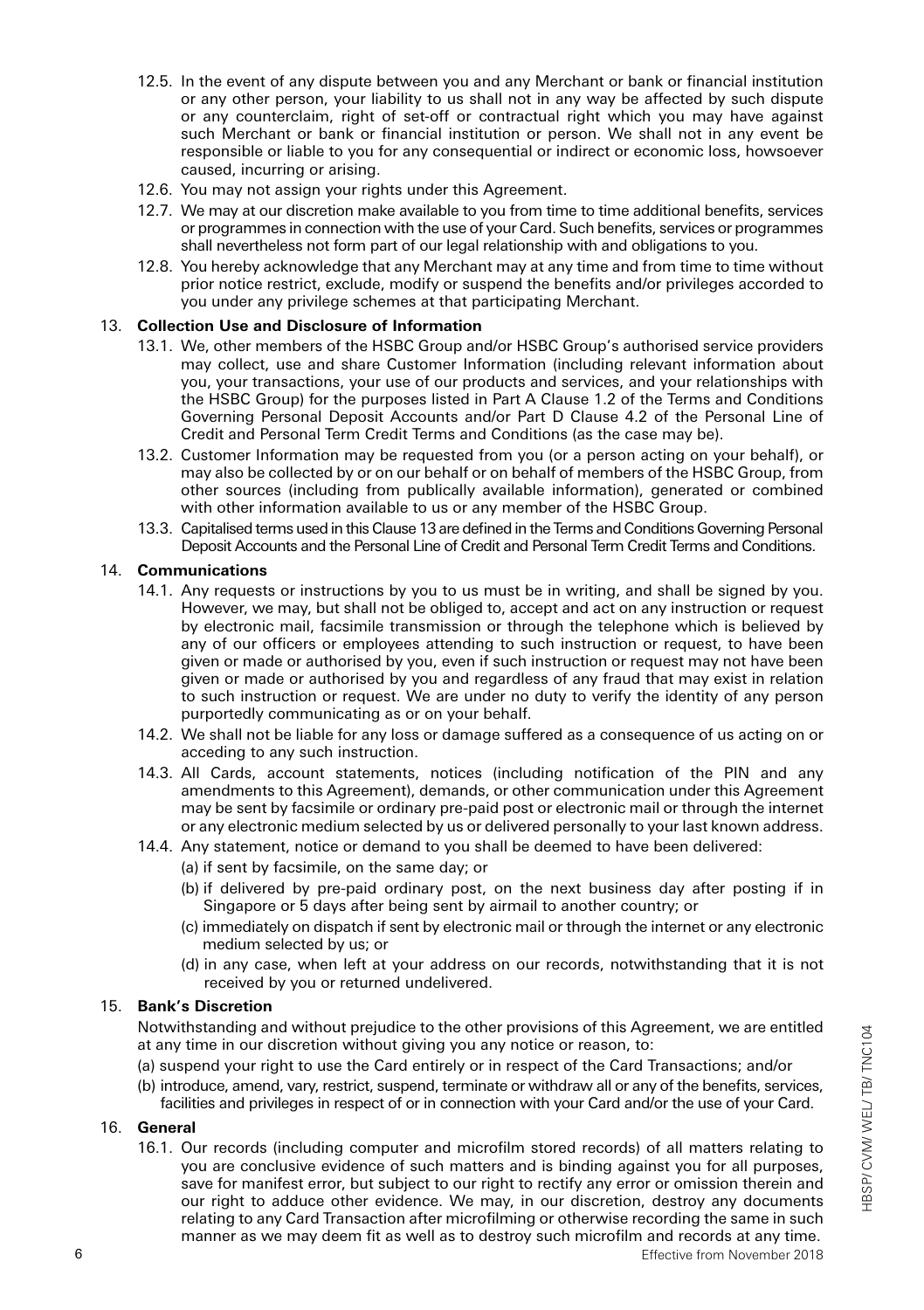- 12.5. In the event of any dispute between you and any Merchant or bank or financial institution or any other person, your liability to us shall not in any way be affected by such dispute or any counterclaim, right of set-off or contractual right which you may have against such Merchant or bank or financial institution or person. We shall not in any event be responsible or liable to you for any consequential or indirect or economic loss, howsoever caused, incurring or arising.
- 12.6. You may not assign your rights under this Agreement.
- 12.7. We may at our discretion make available to you from time to time additional benefits, services or programmes in connection with the use of your Card. Such benefits, services or programmes shall nevertheless not form part of our legal relationship with and obligations to you.
- 12.8. You hereby acknowledge that any Merchant may at any time and from time to time without prior notice restrict, exclude, modify or suspend the benefits and/or privileges accorded to you under any privilege schemes at that participating Merchant.

### 13. **Collection Use and Disclosure of Information**

- 13.1. We, other members of the HSBC Group and/or HSBC Group's authorised service providers may collect, use and share Customer Information (including relevant information about you, your transactions, your use of our products and services, and your relationships with the HSBC Group) for the purposes listed in Part A Clause 1.2 of the Terms and Conditions Governing Personal Deposit Accounts and/or Part D Clause 4.2 of the Personal Line of Credit and Personal Term Credit Terms and Conditions (as the case may be).
- 13.2. Customer Information may be requested from you (or a person acting on your behalf), or may also be collected by or on our behalf or on behalf of members of the HSBC Group, from other sources (including from publically available information), generated or combined with other information available to us or any member of the HSBC Group.
- 13.3. Capitalised terms used in this Clause 13 are defined in the Terms and Conditions Governing Personal Deposit Accounts and the Personal Line of Credit and Personal Term Credit Terms and Conditions.

#### 14. **Communications**

- 14.1. Any requests or instructions by you to us must be in writing, and shall be signed by you. However, we may, but shall not be obliged to, accept and act on any instruction or request by electronic mail, facsimile transmission or through the telephone which is believed by any of our officers or employees attending to such instruction or request, to have been given or made or authorised by you, even if such instruction or request may not have been given or made or authorised by you and regardless of any fraud that may exist in relation to such instruction or request. We are under no duty to verify the identity of any person purportedly communicating as or on your behalf.
- 14.2. We shall not be liable for any loss or damage suffered as a consequence of us acting on or acceding to any such instruction.
- 14.3. All Cards, account statements, notices (including notification of the PIN and any amendments to this Agreement), demands, or other communication under this Agreement may be sent by facsimile or ordinary pre-paid post or electronic mail or through the internet or any electronic medium selected by us or delivered personally to your last known address.
- 14.4. Any statement, notice or demand to you shall be deemed to have been delivered:
	- (a) if sent by facsimile, on the same day; or
	- (b) if delivered by pre-paid ordinary post, on the next business day after posting if in Singapore or 5 days after being sent by airmail to another country; or
	- (c) immediately on dispatch if sent by electronic mail or through the internet or any electronic medium selected by us; or
	- (d) in any case, when left at your address on our records, notwithstanding that it is not received by you or returned undelivered.

#### 15. **Bank's Discretion**

Notwithstanding and without prejudice to the other provisions of this Agreement, we are entitled at any time in our discretion without giving you any notice or reason, to:

- (a) suspend your right to use the Card entirely or in respect of the Card Transactions; and/or
- (b) introduce, amend, vary, restrict, suspend, terminate or withdraw all or any of the benefits, services, facilities and privileges in respect of or in connection with your Card and/or the use of your Card.

#### 16. **General**

16.1. Our records (including computer and microfilm stored records) of all matters relating to you are conclusive evidence of such matters and is binding against you for all purposes, save for manifest error, but subject to our right to rectify any error or omission therein and our right to adduce other evidence. We may, in our discretion, destroy any documents relating to any Card Transaction after microfilming or otherwise recording the same in such manner as we may deem fit as well as to destroy such microfilm and records at any time.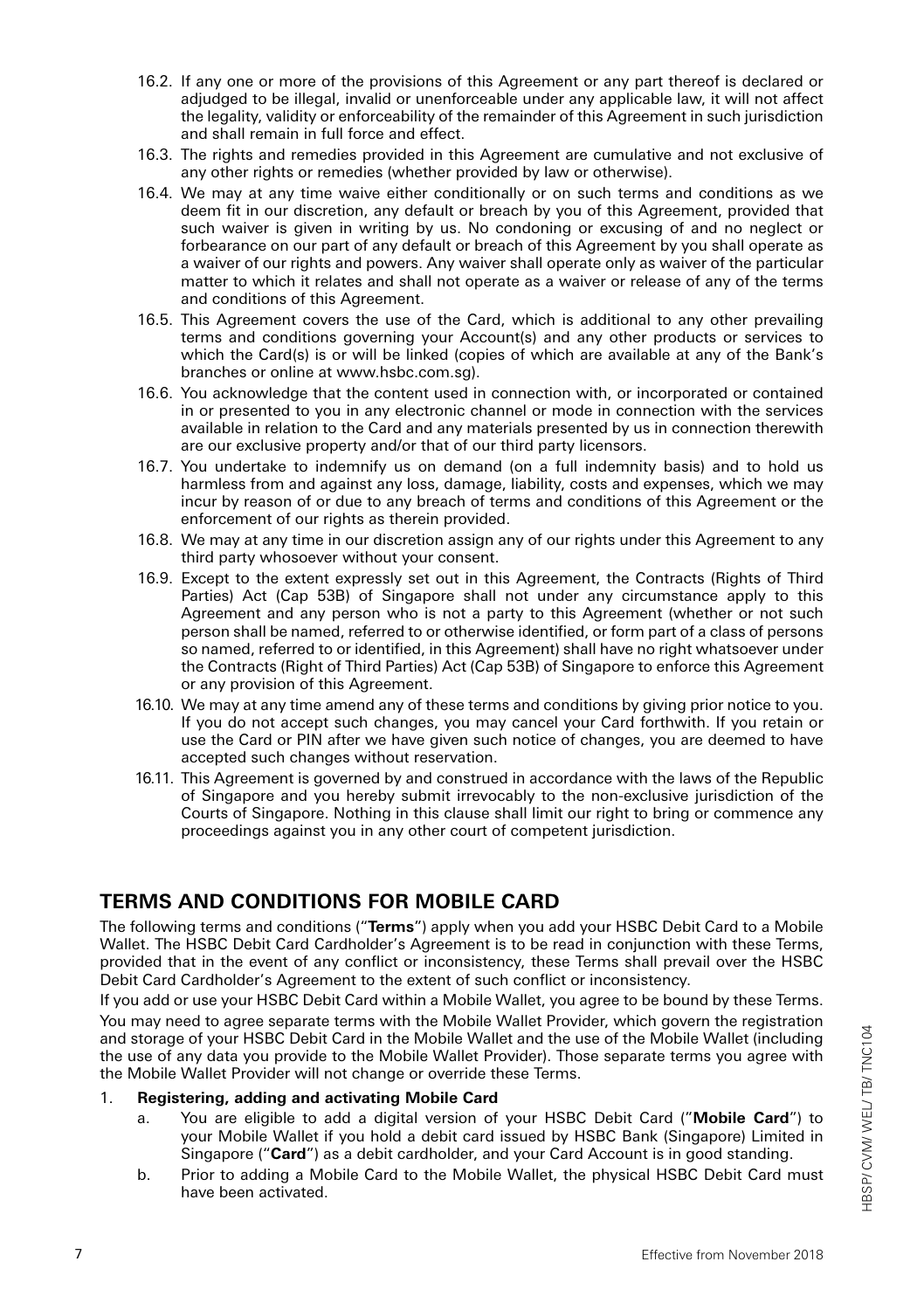- 16.2. If any one or more of the provisions of this Agreement or any part thereof is declared or adjudged to be illegal, invalid or unenforceable under any applicable law, it will not affect the legality, validity or enforceability of the remainder of this Agreement in such jurisdiction and shall remain in full force and effect.
- 16.3. The rights and remedies provided in this Agreement are cumulative and not exclusive of any other rights or remedies (whether provided by law or otherwise).
- 16.4. We may at any time waive either conditionally or on such terms and conditions as we deem fit in our discretion, any default or breach by you of this Agreement, provided that such waiver is given in writing by us. No condoning or excusing of and no neglect or forbearance on our part of any default or breach of this Agreement by you shall operate as a waiver of our rights and powers. Any waiver shall operate only as waiver of the particular matter to which it relates and shall not operate as a waiver or release of any of the terms and conditions of this Agreement.
- 16.5. This Agreement covers the use of the Card, which is additional to any other prevailing terms and conditions governing your Account(s) and any other products or services to which the Card(s) is or will be linked (copies of which are available at any of the Bank's branches or online at www.hsbc.com.sg).
- 16.6. You acknowledge that the content used in connection with, or incorporated or contained in or presented to you in any electronic channel or mode in connection with the services available in relation to the Card and any materials presented by us in connection therewith are our exclusive property and/or that of our third party licensors.
- 16.7. You undertake to indemnify us on demand (on a full indemnity basis) and to hold us harmless from and against any loss, damage, liability, costs and expenses, which we may incur by reason of or due to any breach of terms and conditions of this Agreement or the enforcement of our rights as therein provided.
- 16.8. We may at any time in our discretion assign any of our rights under this Agreement to any third party whosoever without your consent.
- 16.9. Except to the extent expressly set out in this Agreement, the Contracts (Rights of Third Parties) Act (Cap 53B) of Singapore shall not under any circumstance apply to this Agreement and any person who is not a party to this Agreement (whether or not such person shall be named, referred to or otherwise identified, or form part of a class of persons so named, referred to or identified, in this Agreement) shall have no right whatsoever under the Contracts (Right of Third Parties) Act (Cap 53B) of Singapore to enforce this Agreement or any provision of this Agreement.
- 16.10. We may at any time amend any of these terms and conditions by giving prior notice to you. If you do not accept such changes, you may cancel your Card forthwith. If you retain or use the Card or PIN after we have given such notice of changes, you are deemed to have accepted such changes without reservation.
- 16.11. This Agreement is governed by and construed in accordance with the laws of the Republic of Singapore and you hereby submit irrevocably to the non-exclusive jurisdiction of the Courts of Singapore. Nothing in this clause shall limit our right to bring or commence any proceedings against you in any other court of competent jurisdiction.

# **TERMS AND CONDITIONS FOR MOBILE CARD**

The following terms and conditions ("**Terms**") apply when you add your HSBC Debit Card to a Mobile Wallet. The HSBC Debit Card Cardholder's Agreement is to be read in conjunction with these Terms, provided that in the event of any conflict or inconsistency, these Terms shall prevail over the HSBC Debit Card Cardholder's Agreement to the extent of such conflict or inconsistency.

If you add or use your HSBC Debit Card within a Mobile Wallet, you agree to be bound by these Terms. You may need to agree separate terms with the Mobile Wallet Provider, which govern the registration and storage of your HSBC Debit Card in the Mobile Wallet and the use of the Mobile Wallet (including the use of any data you provide to the Mobile Wallet Provider). Those separate terms you agree with the Mobile Wallet Provider will not change or override these Terms.

#### 1. **Registering, adding and activating Mobile Card**

- a. You are eligible to add a digital version of your HSBC Debit Card ("**Mobile Card**") to your Mobile Wallet if you hold a debit card issued by HSBC Bank (Singapore) Limited in Singapore ("**Card**") as a debit cardholder, and your Card Account is in good standing.
- b. Prior to adding a Mobile Card to the Mobile Wallet, the physical HSBC Debit Card must have been activated.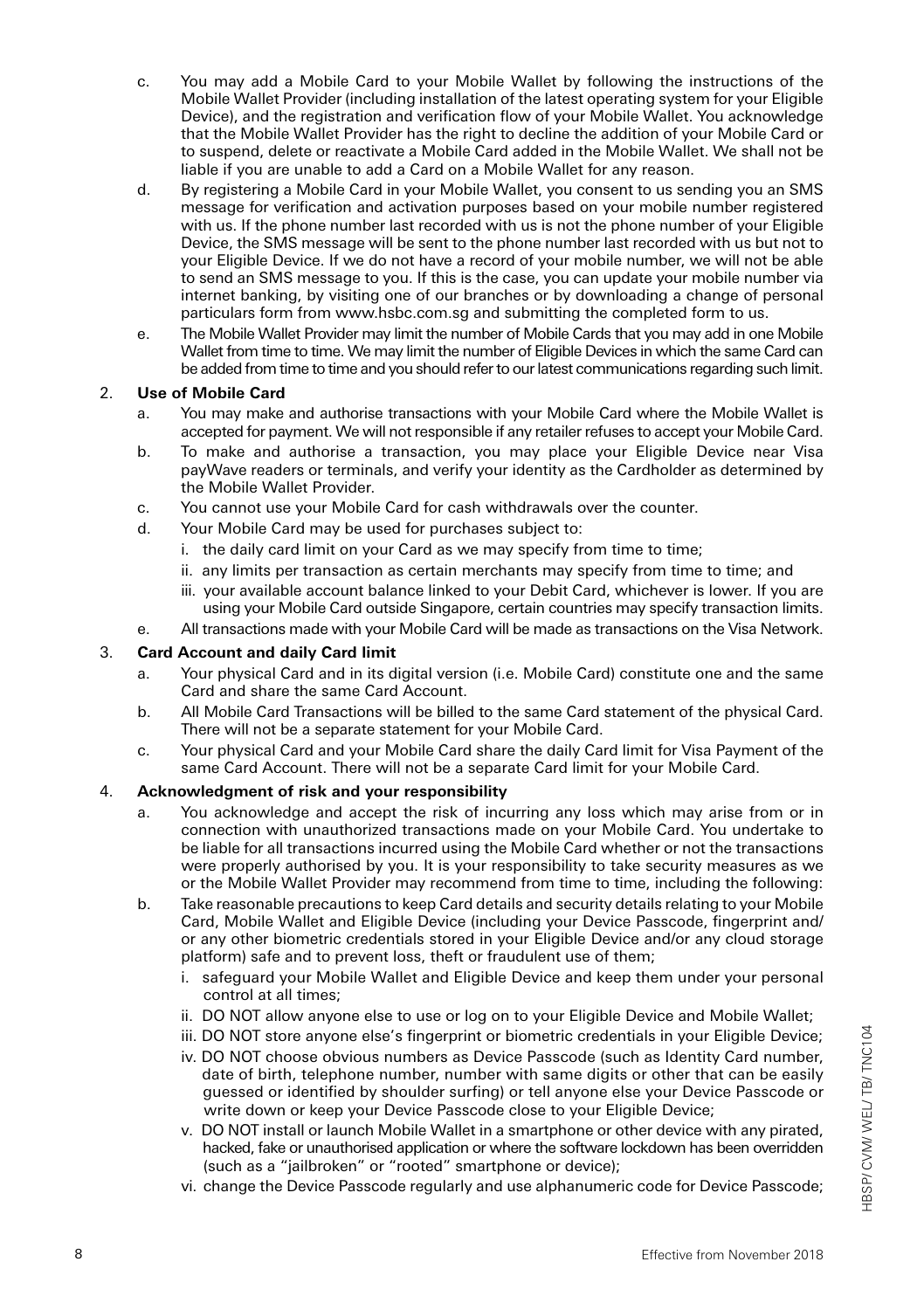- c. You may add a Mobile Card to your Mobile Wallet by following the instructions of the Mobile Wallet Provider (including installation of the latest operating system for your Eligible Device), and the registration and verification flow of your Mobile Wallet. You acknowledge that the Mobile Wallet Provider has the right to decline the addition of your Mobile Card or to suspend, delete or reactivate a Mobile Card added in the Mobile Wallet. We shall not be liable if you are unable to add a Card on a Mobile Wallet for any reason.
- d. By registering a Mobile Card in your Mobile Wallet, you consent to us sending you an SMS message for verification and activation purposes based on your mobile number registered with us. If the phone number last recorded with us is not the phone number of your Eligible Device, the SMS message will be sent to the phone number last recorded with us but not to your Eligible Device. If we do not have a record of your mobile number, we will not be able to send an SMS message to you. If this is the case, you can update your mobile number via internet banking, by visiting one of our branches or by downloading a change of personal particulars form from www.hsbc.com.sg and submitting the completed form to us.
- e. The Mobile Wallet Provider may limit the number of Mobile Cards that you may add in one Mobile Wallet from time to time. We may limit the number of Eligible Devices in which the same Card can be added from time to time and you should refer to our latest communications regarding such limit.

## 2. **Use of Mobile Card**

- a. You may make and authorise transactions with your Mobile Card where the Mobile Wallet is accepted for payment. We will not responsible if any retailer refuses to accept your Mobile Card.
- b. To make and authorise a transaction, you may place your Eligible Device near Visa payWave readers or terminals, and verify your identity as the Cardholder as determined by the Mobile Wallet Provider.
- c. You cannot use your Mobile Card for cash withdrawals over the counter.
- d. Your Mobile Card may be used for purchases subject to:
	- i. the daily card limit on your Card as we may specify from time to time;
	- ii. any limits per transaction as certain merchants may specify from time to time; and
	- iii. your available account balance linked to your Debit Card, whichever is lower. If you are using your Mobile Card outside Singapore, certain countries may specify transaction limits.
- e. All transactions made with your Mobile Card will be made as transactions on the Visa Network.

#### 3. **Card Account and daily Card limit**

- a. Your physical Card and in its digital version (i.e. Mobile Card) constitute one and the same Card and share the same Card Account.
- b. All Mobile Card Transactions will be billed to the same Card statement of the physical Card. There will not be a separate statement for your Mobile Card.
- c. Your physical Card and your Mobile Card share the daily Card limit for Visa Payment of the same Card Account. There will not be a separate Card limit for your Mobile Card.

### 4. **Acknowledgment of risk and your responsibility**

- a. You acknowledge and accept the risk of incurring any loss which may arise from or in connection with unauthorized transactions made on your Mobile Card. You undertake to be liable for all transactions incurred using the Mobile Card whether or not the transactions were properly authorised by you. It is your responsibility to take security measures as we or the Mobile Wallet Provider may recommend from time to time, including the following:
- b. Take reasonable precautions to keep Card details and security details relating to your Mobile Card, Mobile Wallet and Eligible Device (including your Device Passcode, fingerprint and/ or any other biometric credentials stored in your Eligible Device and/or any cloud storage platform) safe and to prevent loss, theft or fraudulent use of them;
	- i. safeguard your Mobile Wallet and Eligible Device and keep them under your personal control at all times;
	- ii. DO NOT allow anyone else to use or log on to your Eligible Device and Mobile Wallet;
	- iii. DO NOT store anyone else's fingerprint or biometric credentials in your Eligible Device;
	- iv. DO NOT choose obvious numbers as Device Passcode (such as Identity Card number, date of birth, telephone number, number with same digits or other that can be easily guessed or identified by shoulder surfing) or tell anyone else your Device Passcode or write down or keep your Device Passcode close to your Eligible Device;
	- v. DO NOT install or launch Mobile Wallet in a smartphone or other device with any pirated, hacked, fake or unauthorised application or where the software lockdown has been overridden (such as a "jailbroken" or "rooted" smartphone or device);
	- vi. change the Device Passcode regularly and use alphanumeric code for Device Passcode;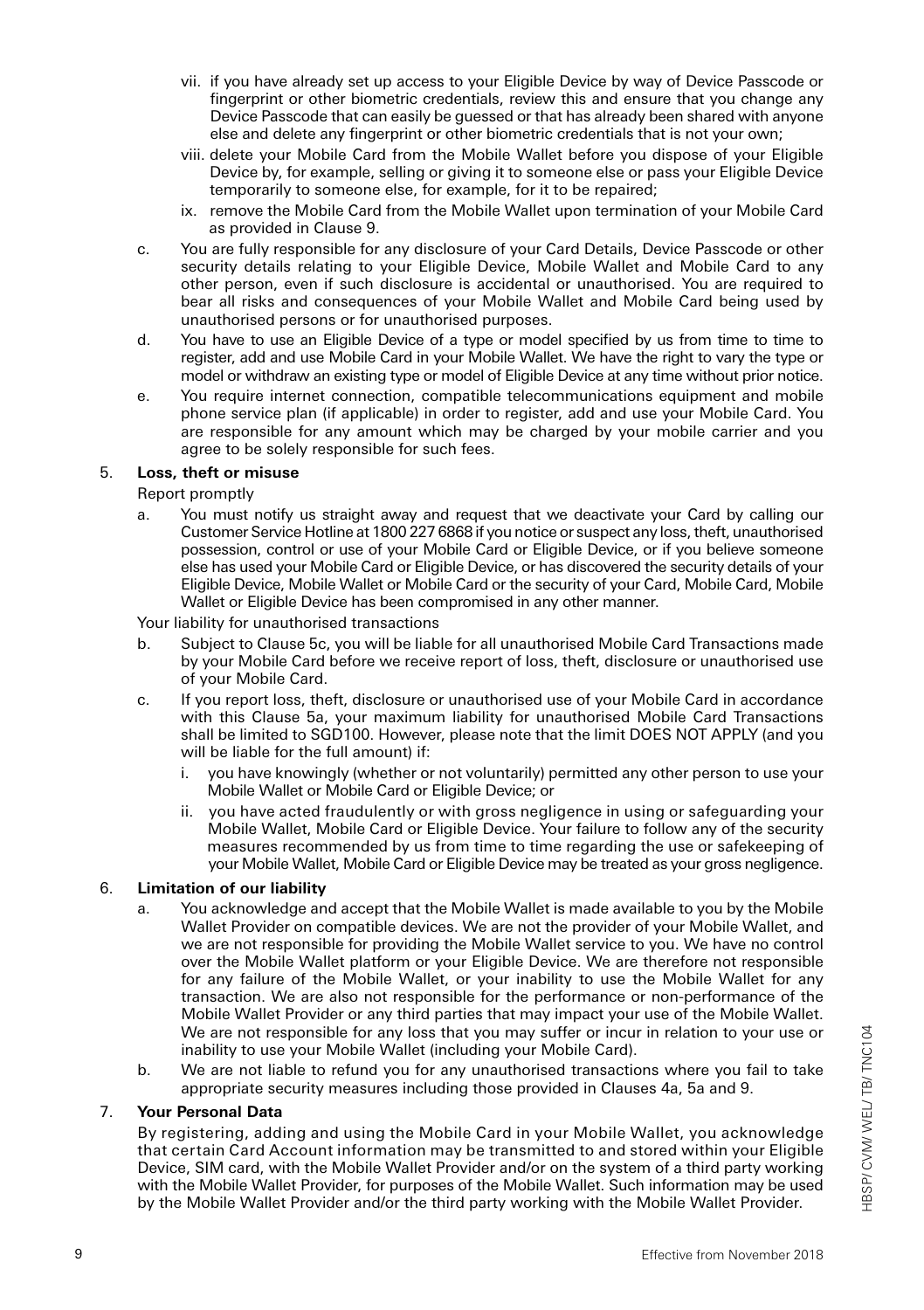- vii. if you have already set up access to your Eligible Device by way of Device Passcode or fingerprint or other biometric credentials, review this and ensure that you change any Device Passcode that can easily be guessed or that has already been shared with anyone else and delete any fingerprint or other biometric credentials that is not your own;
- viii. delete your Mobile Card from the Mobile Wallet before you dispose of your Eligible Device by, for example, selling or giving it to someone else or pass your Eligible Device temporarily to someone else, for example, for it to be repaired;
- ix. remove the Mobile Card from the Mobile Wallet upon termination of your Mobile Card as provided in Clause 9.
- c. You are fully responsible for any disclosure of your Card Details, Device Passcode or other security details relating to your Eligible Device, Mobile Wallet and Mobile Card to any other person, even if such disclosure is accidental or unauthorised. You are required to bear all risks and consequences of your Mobile Wallet and Mobile Card being used by unauthorised persons or for unauthorised purposes.
- d. You have to use an Eligible Device of a type or model specified by us from time to time to register, add and use Mobile Card in your Mobile Wallet. We have the right to vary the type or model or withdraw an existing type or model of Eligible Device at any time without prior notice.
- e. You require internet connection, compatible telecommunications equipment and mobile phone service plan (if applicable) in order to register, add and use your Mobile Card. You are responsible for any amount which may be charged by your mobile carrier and you agree to be solely responsible for such fees.

## 5. **Loss, theft or misuse**

Report promptly

a. You must notify us straight away and request that we deactivate your Card by calling our Customer Service Hotline at 1800 227 6868 if you notice or suspect any loss, theft, unauthorised possession, control or use of your Mobile Card or Eligible Device, or if you believe someone else has used your Mobile Card or Eligible Device, or has discovered the security details of your Eligible Device, Mobile Wallet or Mobile Card or the security of your Card, Mobile Card, Mobile Wallet or Eligible Device has been compromised in any other manner.

Your liability for unauthorised transactions

- b. Subject to Clause 5c, you will be liable for all unauthorised Mobile Card Transactions made by your Mobile Card before we receive report of loss, theft, disclosure or unauthorised use of your Mobile Card.
- c. If you report loss, theft, disclosure or unauthorised use of your Mobile Card in accordance with this Clause 5a, your maximum liability for unauthorised Mobile Card Transactions shall be limited to SGD100. However, please note that the limit DOES NOT APPLY (and you will be liable for the full amount) if:
	- i. you have knowingly (whether or not voluntarily) permitted any other person to use your Mobile Wallet or Mobile Card or Eligible Device; or
	- ii. you have acted fraudulently or with gross negligence in using or safeguarding your Mobile Wallet, Mobile Card or Eligible Device. Your failure to follow any of the security measures recommended by us from time to time regarding the use or safekeeping of your Mobile Wallet, Mobile Card or Eligible Device may be treated as your gross negligence.

### 6. **Limitation of our liability**

- a. You acknowledge and accept that the Mobile Wallet is made available to you by the Mobile Wallet Provider on compatible devices. We are not the provider of your Mobile Wallet, and we are not responsible for providing the Mobile Wallet service to you. We have no control over the Mobile Wallet platform or your Eligible Device. We are therefore not responsible for any failure of the Mobile Wallet, or your inability to use the Mobile Wallet for any transaction. We are also not responsible for the performance or non-performance of the Mobile Wallet Provider or any third parties that may impact your use of the Mobile Wallet. We are not responsible for any loss that you may suffer or incur in relation to your use or inability to use your Mobile Wallet (including your Mobile Card).
- b. We are not liable to refund you for any unauthorised transactions where you fail to take appropriate security measures including those provided in Clauses 4a, 5a and 9.

## 7. **Your Personal Data**

By registering, adding and using the Mobile Card in your Mobile Wallet, you acknowledge that certain Card Account information may be transmitted to and stored within your Eligible Device, SIM card, with the Mobile Wallet Provider and/or on the system of a third party working with the Mobile Wallet Provider, for purposes of the Mobile Wallet. Such information may be used by the Mobile Wallet Provider and/or the third party working with the Mobile Wallet Provider.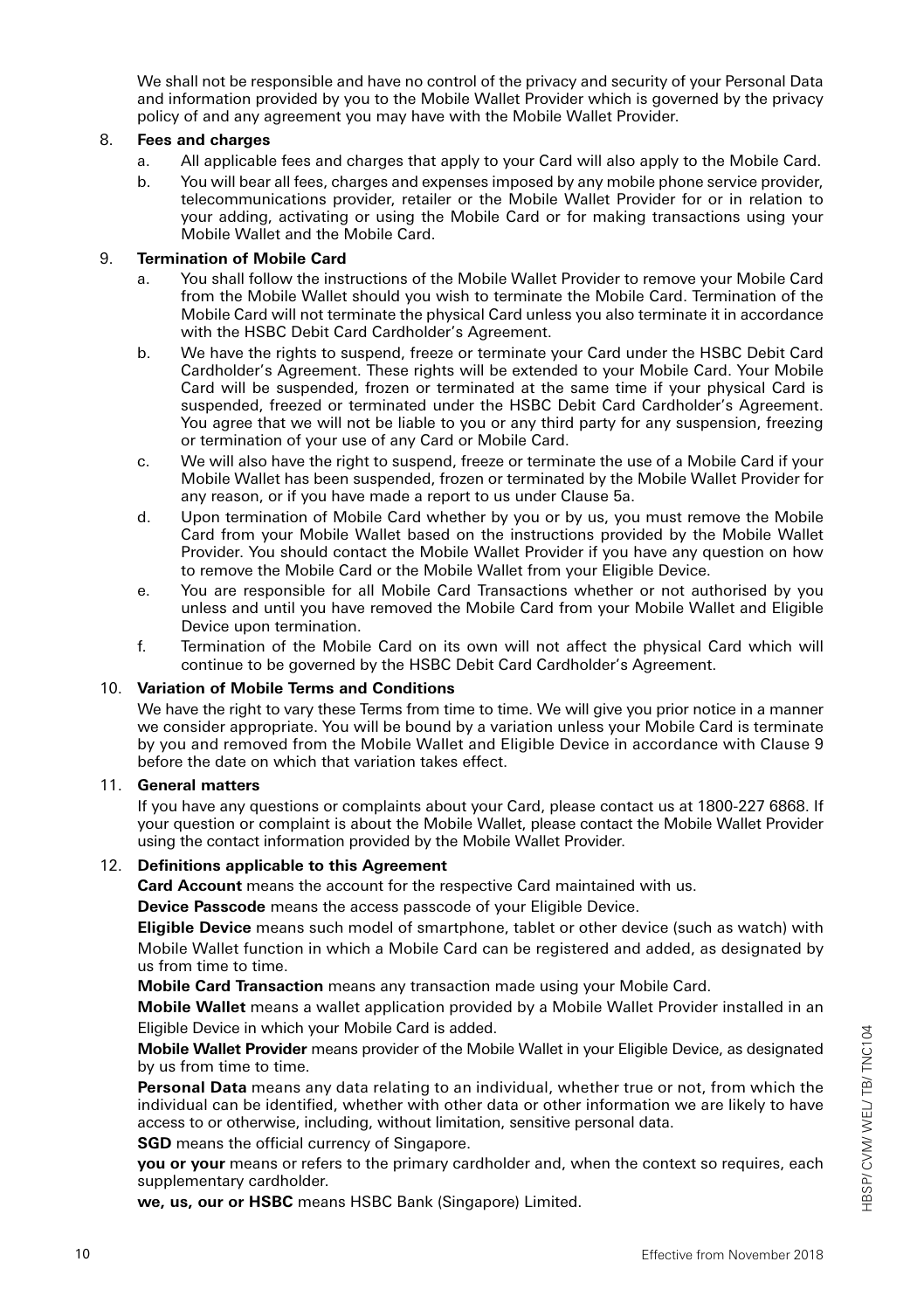We shall not be responsible and have no control of the privacy and security of your Personal Data and information provided by you to the Mobile Wallet Provider which is governed by the privacy policy of and any agreement you may have with the Mobile Wallet Provider.

### 8. **Fees and charges**

- a. All applicable fees and charges that apply to your Card will also apply to the Mobile Card.
- b. You will bear all fees, charges and expenses imposed by any mobile phone service provider, telecommunications provider, retailer or the Mobile Wallet Provider for or in relation to your adding, activating or using the Mobile Card or for making transactions using your Mobile Wallet and the Mobile Card.

## 9. **Termination of Mobile Card**

- a. You shall follow the instructions of the Mobile Wallet Provider to remove your Mobile Card from the Mobile Wallet should you wish to terminate the Mobile Card. Termination of the Mobile Card will not terminate the physical Card unless you also terminate it in accordance with the HSBC Debit Card Cardholder's Agreement.
- b. We have the rights to suspend, freeze or terminate your Card under the HSBC Debit Card Cardholder's Agreement. These rights will be extended to your Mobile Card. Your Mobile Card will be suspended, frozen or terminated at the same time if your physical Card is suspended, freezed or terminated under the HSBC Debit Card Cardholder's Agreement. You agree that we will not be liable to you or any third party for any suspension, freezing or termination of your use of any Card or Mobile Card.
- c. We will also have the right to suspend, freeze or terminate the use of a Mobile Card if your Mobile Wallet has been suspended, frozen or terminated by the Mobile Wallet Provider for any reason, or if you have made a report to us under Clause 5a.
- d. Upon termination of Mobile Card whether by you or by us, you must remove the Mobile Card from your Mobile Wallet based on the instructions provided by the Mobile Wallet Provider. You should contact the Mobile Wallet Provider if you have any question on how to remove the Mobile Card or the Mobile Wallet from your Eligible Device.
- e. You are responsible for all Mobile Card Transactions whether or not authorised by you unless and until you have removed the Mobile Card from your Mobile Wallet and Eligible Device upon termination.
- f. Termination of the Mobile Card on its own will not affect the physical Card which will continue to be governed by the HSBC Debit Card Cardholder's Agreement.

#### 10. **Variation of Mobile Terms and Conditions**

We have the right to vary these Terms from time to time. We will give you prior notice in a manner we consider appropriate. You will be bound by a variation unless your Mobile Card is terminate by you and removed from the Mobile Wallet and Eligible Device in accordance with Clause 9 before the date on which that variation takes effect.

#### 11. **General matters**

If you have any questions or complaints about your Card, please contact us at 1800-227 6868. If your question or complaint is about the Mobile Wallet, please contact the Mobile Wallet Provider using the contact information provided by the Mobile Wallet Provider.

### 12. **Definitions applicable to this Agreement**

**Card Account** means the account for the respective Card maintained with us.

**Device Passcode** means the access passcode of your Eligible Device.

**Eligible Device** means such model of smartphone, tablet or other device (such as watch) with Mobile Wallet function in which a Mobile Card can be registered and added, as designated by us from time to time.

**Mobile Card Transaction** means any transaction made using your Mobile Card.

**Mobile Wallet** means a wallet application provided by a Mobile Wallet Provider installed in an Eligible Device in which your Mobile Card is added.

**Mobile Wallet Provider** means provider of the Mobile Wallet in your Eligible Device, as designated by us from time to time.

**Personal Data** means any data relating to an individual, whether true or not, from which the individual can be identified, whether with other data or other information we are likely to have access to or otherwise, including, without limitation, sensitive personal data.

**SGD** means the official currency of Singapore.

**you or your** means or refers to the primary cardholder and, when the context so requires, each supplementary cardholder.

**we, us, our or HSBC** means HSBC Bank (Singapore) Limited.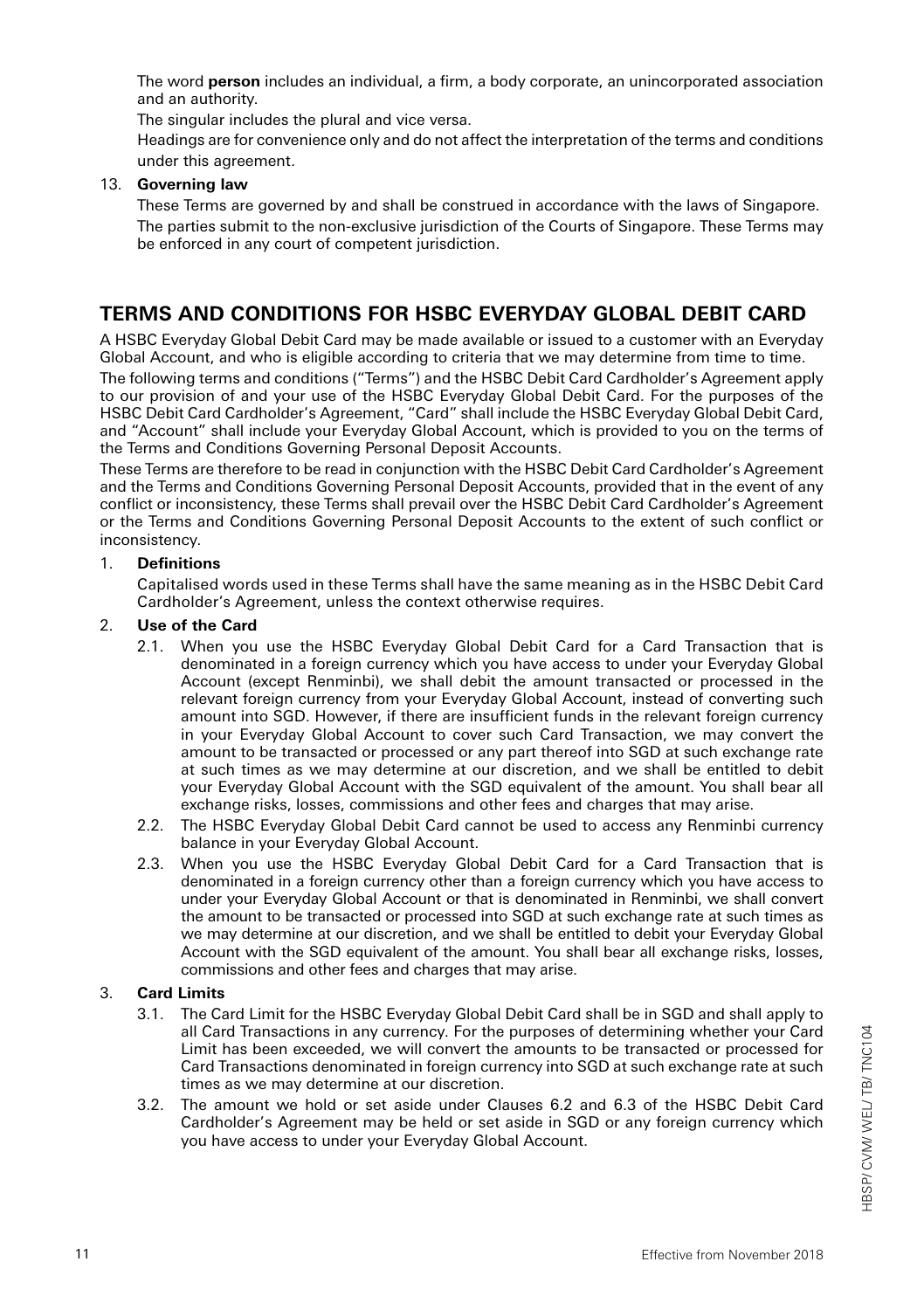The word **person** includes an individual, a firm, a body corporate, an unincorporated association and an authority.

The singular includes the plural and vice versa.

Headings are for convenience only and do not affect the interpretation of the terms and conditions under this agreement.

## 13. **Governing law**

These Terms are governed by and shall be construed in accordance with the laws of Singapore. The parties submit to the non-exclusive jurisdiction of the Courts of Singapore. These Terms may be enforced in any court of competent jurisdiction.

# **TERMS AND CONDITIONS FOR HSBC EVERYDAY GLOBAL DEBIT CARD**

A HSBC Everyday Global Debit Card may be made available or issued to a customer with an Everyday Global Account, and who is eligible according to criteria that we may determine from time to time. The following terms and conditions ("Terms") and the HSBC Debit Card Cardholder's Agreement apply to our provision of and your use of the HSBC Everyday Global Debit Card. For the purposes of the HSBC Debit Card Cardholder's Agreement, "Card" shall include the HSBC Everyday Global Debit Card, and "Account" shall include your Everyday Global Account, which is provided to you on the terms of the Terms and Conditions Governing Personal Deposit Accounts.

These Terms are therefore to be read in conjunction with the HSBC Debit Card Cardholder's Agreement and the Terms and Conditions Governing Personal Deposit Accounts, provided that in the event of any conflict or inconsistency, these Terms shall prevail over the HSBC Debit Card Cardholder's Agreement or the Terms and Conditions Governing Personal Deposit Accounts to the extent of such conflict or inconsistency.

## 1. **Definitions**

Capitalised words used in these Terms shall have the same meaning as in the HSBC Debit Card Cardholder's Agreement, unless the context otherwise requires.

## 2. **Use of the Card**

- 2.1. When you use the HSBC Everyday Global Debit Card for a Card Transaction that is denominated in a foreign currency which you have access to under your Everyday Global Account (except Renminbi), we shall debit the amount transacted or processed in the relevant foreign currency from your Everyday Global Account, instead of converting such amount into SGD. However, if there are insufficient funds in the relevant foreign currency in your Everyday Global Account to cover such Card Transaction, we may convert the amount to be transacted or processed or any part thereof into SGD at such exchange rate at such times as we may determine at our discretion, and we shall be entitled to debit your Everyday Global Account with the SGD equivalent of the amount. You shall bear all exchange risks, losses, commissions and other fees and charges that may arise.
- 2.2. The HSBC Everyday Global Debit Card cannot be used to access any Renminbi currency balance in your Everyday Global Account.
- 2.3. When you use the HSBC Everyday Global Debit Card for a Card Transaction that is denominated in a foreign currency other than a foreign currency which you have access to under your Everyday Global Account or that is denominated in Renminbi, we shall convert the amount to be transacted or processed into SGD at such exchange rate at such times as we may determine at our discretion, and we shall be entitled to debit your Everyday Global Account with the SGD equivalent of the amount. You shall bear all exchange risks, losses, commissions and other fees and charges that may arise.

# 3. **Card Limits**

- 3.1. The Card Limit for the HSBC Everyday Global Debit Card shall be in SGD and shall apply to all Card Transactions in any currency. For the purposes of determining whether your Card Limit has been exceeded, we will convert the amounts to be transacted or processed for Card Transactions denominated in foreign currency into SGD at such exchange rate at such times as we may determine at our discretion.
- 3.2. The amount we hold or set aside under Clauses 6.2 and 6.3 of the HSBC Debit Card Cardholder's Agreement may be held or set aside in SGD or any foreign currency which you have access to under your Everyday Global Account.